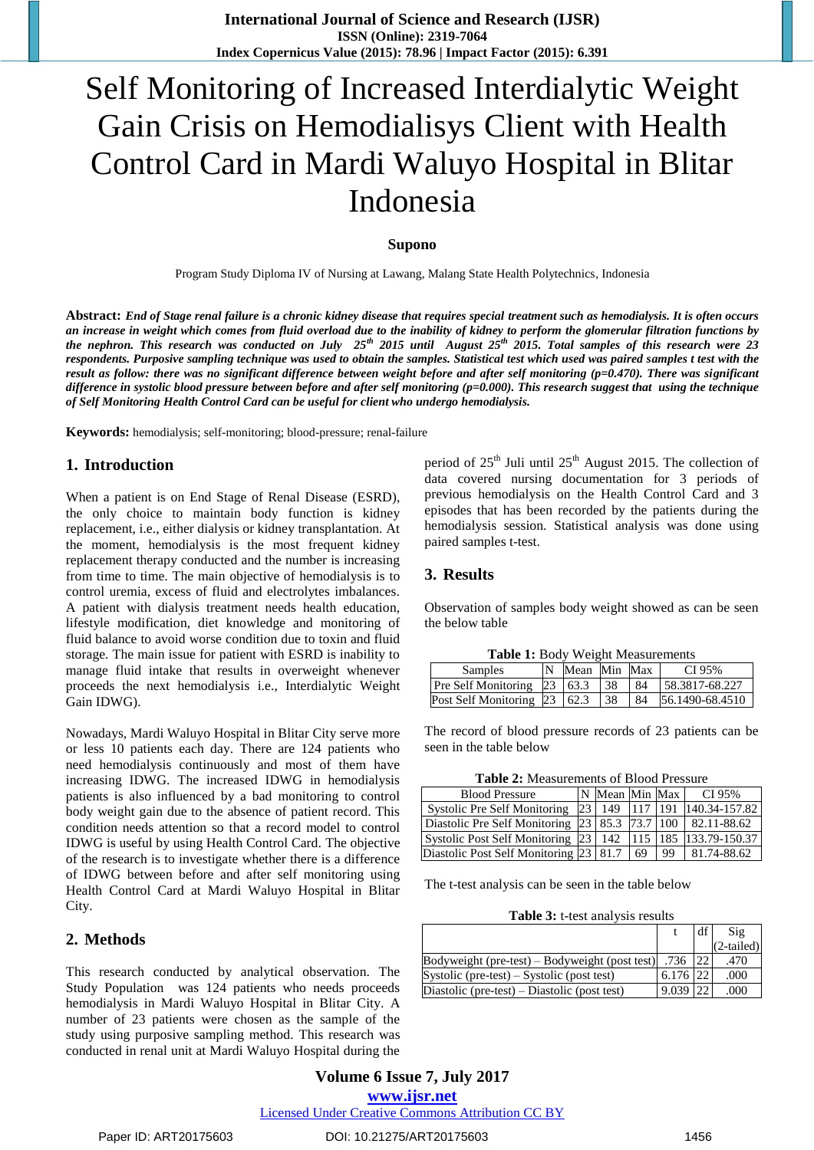# Self Monitoring of Increased Interdialytic Weight Gain Crisis on Hemodialisys Client with Health Control Card in Mardi Waluyo Hospital in Blitar Indonesia

#### **Supono**

Program Study Diploma IV of Nursing at Lawang, Malang State Health Polytechnics, Indonesia

**Abstract:** *End of Stage renal failure is a chronic kidney disease that requires special treatment such as hemodialysis. It is often occurs an increase in weight which comes from fluid overload due to the inability of kidney to perform the glomerular filtration functions by the nephron. This research was conducted on July 25th 2015 until August 25th 2015. Total samples of this research were 23 respondents. Purposive sampling technique was used to obtain the samples. Statistical test which used was paired samples t test with the result as follow: there was no significant difference between weight before and after self monitoring (p=0.470). There was significant difference in systolic blood pressure between before and after self monitoring (p=0.000). This research suggest that using the technique of Self Monitoring Health Control Card can be useful for client who undergo hemodialysis.*

**Keywords:** hemodialysis; self-monitoring; blood-pressure; renal-failure

#### **1. Introduction**

When a patient is on End Stage of Renal Disease (ESRD), the only choice to maintain body function is kidney replacement, i.e., either dialysis or kidney transplantation. At the moment, hemodialysis is the most frequent kidney replacement therapy conducted and the number is increasing from time to time. The main objective of hemodialysis is to control uremia, excess of fluid and electrolytes imbalances. A patient with dialysis treatment needs health education, lifestyle modification, diet knowledge and monitoring of fluid balance to avoid worse condition due to toxin and fluid storage. The main issue for patient with ESRD is inability to manage fluid intake that results in overweight whenever proceeds the next hemodialysis i.e., Interdialytic Weight Gain IDWG).

Nowadays, Mardi Waluyo Hospital in Blitar City serve more or less 10 patients each day. There are 124 patients who need hemodialysis continuously and most of them have increasing IDWG. The increased IDWG in hemodialysis patients is also influenced by a bad monitoring to control body weight gain due to the absence of patient record. This condition needs attention so that a record model to control IDWG is useful by using Health Control Card. The objective of the research is to investigate whether there is a difference of IDWG between before and after self monitoring using Health Control Card at Mardi Waluyo Hospital in Blitar City.

#### **2. Methods**

This research conducted by analytical observation. The Study Population was 124 patients who needs proceeds hemodialysis in Mardi Waluyo Hospital in Blitar City. A number of 23 patients were chosen as the sample of the study using purposive sampling method. This research was conducted in renal unit at Mardi Waluyo Hospital during the

period of  $25<sup>th</sup>$  Juli until  $25<sup>th</sup>$  August 2015. The collection of data covered nursing documentation for 3 periods of previous hemodialysis on the Health Control Card and 3 episodes that has been recorded by the patients during the hemodialysis session. Statistical analysis was done using paired samples t-test.

#### **3. Results**

Observation of samples body weight showed as can be seen the below table

|  |  | Table 1: Body Weight Measurements |
|--|--|-----------------------------------|
|--|--|-----------------------------------|

| Samples                                     | Mean Min Max |     |     | CI 95%          |
|---------------------------------------------|--------------|-----|-----|-----------------|
| Pre Self Monitoring 23 63.3                 |              | -38 | -84 | 158.3817-68.227 |
| Post Self Monitoring $\left 23\right $ 62.3 |              | 38  | 84  | 56.1490-68.4510 |

The record of blood pressure records of 23 patients can be seen in the table below

**Table 2:** Measurements of Blood Pressure

| <b>Blood Pressure</b>                                              | N Mean Min Max |     |     | CI 95%        |
|--------------------------------------------------------------------|----------------|-----|-----|---------------|
| <b>Systolic Pre Self Monitoring</b>                                | 23 149         | 117 | 191 | 140.34-157.82 |
| Diastolic Pre Self Monitoring 23   85.3   73.7   100   82.11-88.62 |                |     |     |               |
| Systolic Post Self Monitoring 23   142   115   185   133.79-150.37 |                |     |     |               |
| Diastolic Post Self Monitoring 23 81.7                             |                | 69  | 99  | 81.74-88.62   |

The t-test analysis can be seen in the table below

**Table 3:** t-test analysis results

|                                                    |              | df l | $\mathrm{Sig}$ |
|----------------------------------------------------|--------------|------|----------------|
|                                                    |              |      | $(2-tailed)$   |
| $Bodyweight$ (pre-test) – $Bodyweight$ (post test) | .736   22    |      | .470           |
| Systolic (pre-test) – Systolic (post test)         | $6.176$  22  |      | .000           |
| Diastolic (pre-test) – Diastolic (post test)       | $9.039$   22 |      | .000           |

**Volume 6 Issue 7, July 2017 www.ijsr.net** Licensed Under Creative Commons Attribution CC BY